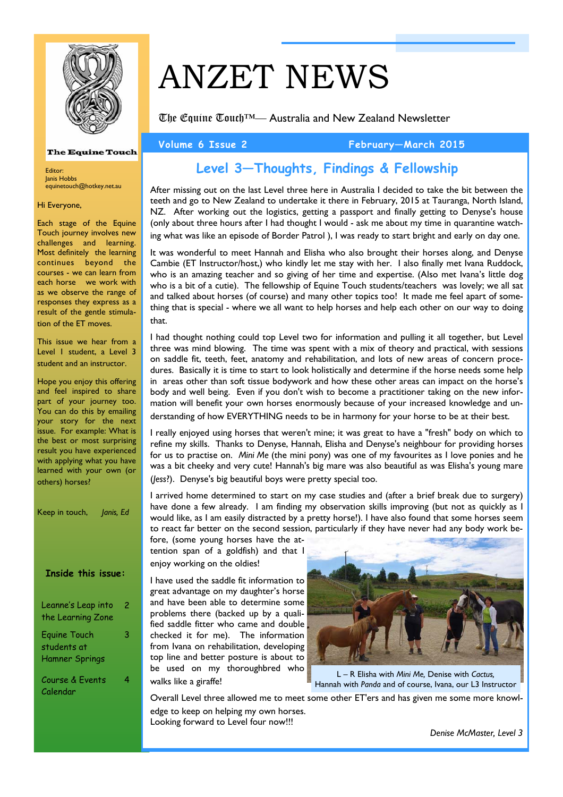

**The Equine Touch** 

# ANZET NEWS

The Equine Touch™— Australia and New Zealand Newsletter

**Volume 6 Issue 2 February—March 2015** 

# **Level 3—Thoughts, Findings & Fellowship**

After missing out on the last Level three here in Australia I decided to take the bit between the teeth and go to New Zealand to undertake it there in February, 2015 at Tauranga, North Island, NZ. After working out the logistics, getting a passport and finally getting to Denyse's house (only about three hours after I had thought I would - ask me about my time in quarantine watching what was like an episode of Border Patrol ), I was ready to start bright and early on day one.

It was wonderful to meet Hannah and Elisha who also brought their horses along, and Denyse Cambie (ET Instructor/host,) who kindly let me stay with her. I also finally met Ivana Ruddock, who is an amazing teacher and so giving of her time and expertise. (Also met Ivana's little dog who is a bit of a cutie). The fellowship of Equine Touch students/teachers was lovely; we all sat and talked about horses (of course) and many other topics too! It made me feel apart of something that is special - where we all want to help horses and help each other on our way to doing that.

I had thought nothing could top Level two for information and pulling it all together, but Level three was mind blowing. The time was spent with a mix of theory and practical, with sessions on saddle fit, teeth, feet, anatomy and rehabilitation, and lots of new areas of concern procedures. Basically it is time to start to look holistically and determine if the horse needs some help in areas other than soft tissue bodywork and how these other areas can impact on the horse's body and well being. Even if you don't wish to become a practitioner taking on the new information will benefit your own horses enormously because of your increased knowledge and understanding of how EVERYTHING needs to be in harmony for your horse to be at their best.

I really enjoyed using horses that weren't mine; it was great to have a "fresh" body on which to refine my skills. Thanks to Denyse, Hannah, Elisha and Denyse's neighbour for providing horses

for us to practise on. *Mini Me* (the mini pony) was one of my favourites as I love ponies and he was a bit cheeky and very cute! Hannah's big mare was also beautiful as was Elisha's young mare (*Jess*?). Denyse's big beautiful boys were pretty special too.

I arrived home determined to start on my case studies and (after a brief break due to surgery) have done a few already. I am finding my observation skills improving (but not as quickly as I would like, as I am easily distracted by a pretty horse!). I have also found that some horses seem to react far better on the second session, particularly if they have never had any body work be-

fore, (some young horses have the attention span of a goldfish) and that I enjoy working on the oldies!

I have used the saddle fit information to great advantage on my daughter's horse and have been able to determine some problems there (backed up by a qualified saddle fitter who came and double checked it for me). The information from Ivana on rehabilitation, developing top line and better posture is about to be used on my thoroughbred who walks like a giraffe!



L – R Elisha with *Mini Me,* Denise with *Cactus,*  Hannah with *Panda* and of course, Ivana, our L3 Instructor

Overall Level three allowed me to meet some other ET'ers and has given me some more knowledge to keep on helping my own horses. Looking forward to Level four now!!!

Hi Everyone,

Editor: Janis Hobbs

Each stage of the Equine Touch journey involves new challenges and learning. Most definitely the learning continues beyond the courses - we can learn from each horse we work with as we observe the range of responses they express as a result of the gentle stimulation of the ET moves.

equinetouch@hotkey.net.au

This issue we hear from a Level 1 student, a Level 3 student and an instructor.

Hope you enjoy this offering and feel inspired to share part of your journey too. You can do this by emailing your story for the next issue. For example: What is the best or most surprising result you have experienced with applying what you have learned with your own (or others) horses?

Keep in touch, *Janis, Ed*

### **Inside this issue:**

| Leanne's Leap into<br>the Learning Zone | 2 |
|-----------------------------------------|---|
| Equine Touch<br>students at             | З |

Course & Events Calendar

4

Hamner Springs

*Denise McMaster, Level 3*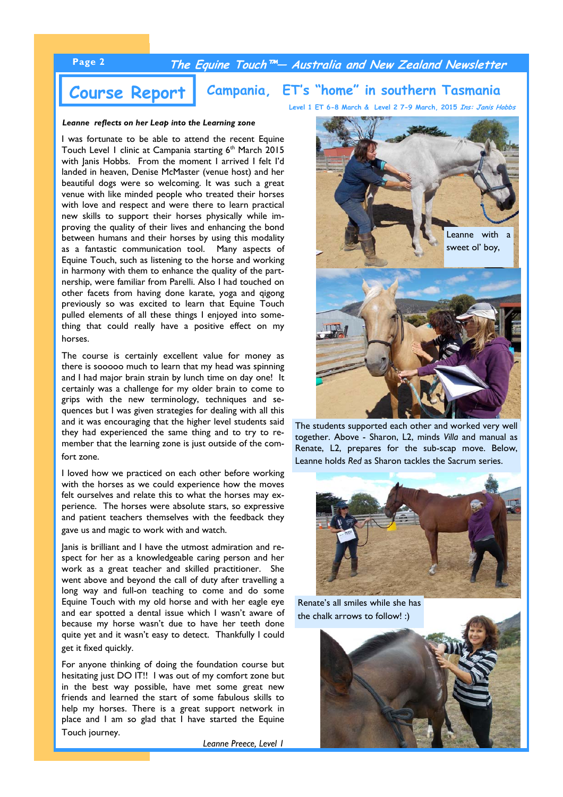# **Page 2 The Equine Touch™— Australia and New Zealand Newsletter**

# **Course Report Campania, ET's "home" in southern Tasmania Level 1 ET 6-8 March & Level 2 7-9 March, 2015 Ins: Janis Hobbs**

*Leanne reflects on her Leap into the Learning zone* 

I was fortunate to be able to attend the recent Equine Touch Level 1 clinic at Campania starting 6<sup>th</sup> March 2015 with Janis Hobbs. From the moment I arrived I felt I'd landed in heaven, Denise McMaster (venue host) and her beautiful dogs were so welcoming. It was such a great venue with like minded people who treated their horses with love and respect and were there to learn practical new skills to support their horses physically while improving the quality of their lives and enhancing the bond between humans and their horses by using this modality as a fantastic communication tool. Many aspects of Equine Touch, such as listening to the horse and working in harmony with them to enhance the quality of the partnership, were familiar from Parelli. Also I had touched on other facets from having done karate, yoga and qigong previously so was excited to learn that Equine Touch pulled elements of all these things I enjoyed into something that could really have a positive effect on my horses.

The course is certainly excellent value for money as there is sooooo much to learn that my head was spinning and I had major brain strain by lunch time on day one! It certainly was a challenge for my older brain to come to grips with the new terminology, techniques and sequences but I was given strategies for dealing with all this and it was encouraging that the higher level students said they had experienced the same thing and to try to remember that the learning zone is just outside of the comfort zone.

I loved how we practiced on each other before working with the horses as we could experience how the moves felt ourselves and relate this to what the horses may experience. The horses were absolute stars, so expressive and patient teachers themselves with the feedback they gave us and magic to work with and watch.

Janis is brilliant and I have the utmost admiration and respect for her as a knowledgeable caring person and her work as a great teacher and skilled practitioner. She went above and beyond the call of duty after travelling a long way and full-on teaching to come and do some Equine Touch with my old horse and with her eagle eye and ear spotted a dental issue which I wasn't aware of because my horse wasn't due to have her teeth done quite yet and it wasn't easy to detect. Thankfully I could get it fixed quickly.

For anyone thinking of doing the foundation course but hesitating just DO IT!! I was out of my comfort zone but in the best way possible, have met some great new friends and learned the start of some fabulous skills to help my horses. There is a great support network in place and I am so glad that I have started the Equine Touch journey.

*Leanne Preece, Level 1*



The students supported each other and worked very well together. Above - Sharon, L2, minds *Villa* and manual as Renate, L2, prepares for the sub-scap move. Below, Leanne holds *Red* as Sharon tackles the Sacrum series.



Renate's all smiles while she has the chalk arrows to follow! :)

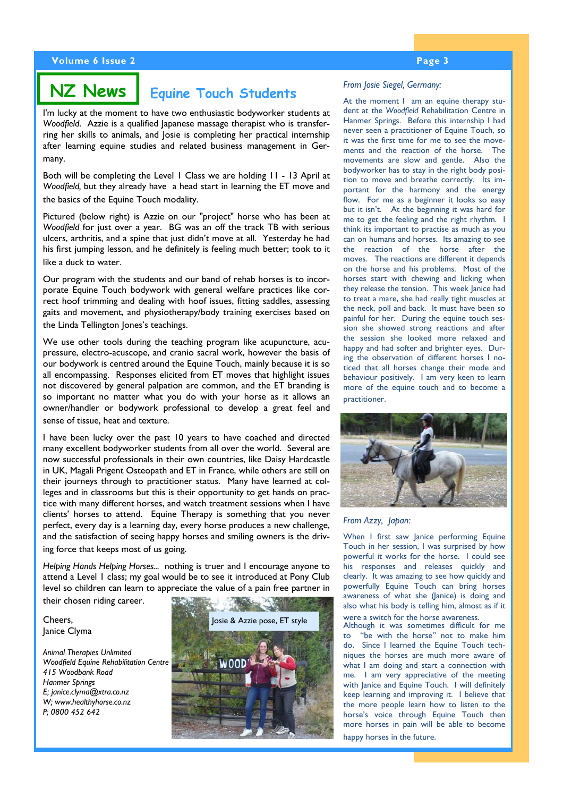# **NZ News** *Equine Touch Students From Josie Siegel, Germany:*

I'm lucky at the moment to have two enthusiastic bodyworker students at *Woodfield*. Azzie is a qualified Japanese massage therapist who is transferring her skills to animals, and Josie is completing her practical internship after learning equine studies and related business management in Germany.

Both will be completing the Level 1 Class we are holding 11 - 13 April at *Woodfield,* but they already have a head start in learning the ET move and the basics of the Equine Touch modality.

Pictured (below right) is Azzie on our "project" horse who has been at *Woodfield* for just over a year. BG was an off the track TB with serious ulcers, arthritis, and a spine that just didn't move at all. Yesterday he had his first jumping lesson, and he definitely is feeling much better; took to it like a duck to water.

Our program with the students and our band of rehab horses is to incorporate Equine Touch bodywork with general welfare practices like correct hoof trimming and dealing with hoof issues, fitting saddles, assessing gaits and movement, and physiotherapy/body training exercises based on the Linda Tellington Jones's teachings.

We use other tools during the teaching program like acupuncture, acupressure, electro-acuscope, and cranio sacral work, however the basis of our bodywork is centred around the Equine Touch, mainly because it is so all encompassing. Responses elicited from ET moves that highlight issues not discovered by general palpation are common, and the ET branding is so important no matter what you do with your horse as it allows an owner/handler or bodywork professional to develop a great feel and sense of tissue, heat and texture.

I have been lucky over the past 10 years to have coached and directed many excellent bodyworker students from all over the world. Several are now successful professionals in their own countries, like Daisy Hardcastle in UK, Magali Prigent Osteopath and ET in France, while others are still on their journeys through to practitioner status. Many have learned at colleges and in classrooms but this is their opportunity to get hands on practice with many different horses, and watch treatment sessions when I have clients' horses to attend. Equine Therapy is something that you never perfect, every day is a learning day, every horse produces a new challenge, and the satisfaction of seeing happy horses and smiling owners is the driving force that keeps most of us going.

*Helping Hands Helping Horses...* nothing is truer and I encourage anyone to attend a Level 1 class; my goal would be to see it introduced at Pony Club level so children can learn to appreciate the value of a pain free partner in

their chosen riding career.

Cheers, Janice Clyma

*Animal Therapies Unlimited Woodfield Equine Rehabilitation Centre 415 Woodbank Road Hanmer Springs E; janice.clyma@xtra.co.nz W; www.healthyhorse.co.nz P; 0800 452 642* 



At the moment I am an equine therapy student at the *Woodfield* Rehabilitation Centre in Hanmer Springs. Before this internship I had never seen a practitioner of Equine Touch, so it was the first time for me to see the movements and the reaction of the horse. The movements are slow and gentle. Also the bodyworker has to stay in the right body position to move and breathe correctly. Its important for the harmony and the energy flow. For me as a beginner it looks so easy but it isn't. At the beginning it was hard for me to get the feeling and the right rhythm. I think its important to practise as much as you can on humans and horses. Its amazing to see the reaction of the horse after the moves. The reactions are different it depends on the horse and his problems. Most of the horses start with chewing and licking when they release the tension. This week Janice had to treat a mare, she had really tight muscles at the neck, poll and back. It must have been so painful for her. During the equine touch session she showed strong reactions and after the session she looked more relaxed and happy and had softer and brighter eyes. During the observation of different horses I noticed that all horses change their mode and behaviour positively. I am very keen to learn more of the equine touch and to become a practitioner.



### *From Azzy, Japan:*

When I first saw lanice performing Equine Touch in her session, I was surprised by how powerful it works for the horse. I could see his responses and releases quickly and clearly. It was amazing to see how quickly and powerfully Equine Touch can bring horses awareness of what she (Janice) is doing and also what his body is telling him, almost as if it were a switch for the horse awareness.

Although it was sometimes difficult for me to "be with the horse" not to make him do. Since I learned the Equine Touch techniques the horses are much more aware of what I am doing and start a connection with me. I am very appreciative of the meeting with Janice and Equine Touch. I will definitely keep learning and improving it. I believe that the more people learn how to listen to the horse's voice through Equine Touch then more horses in pain will be able to become happy horses in the future.